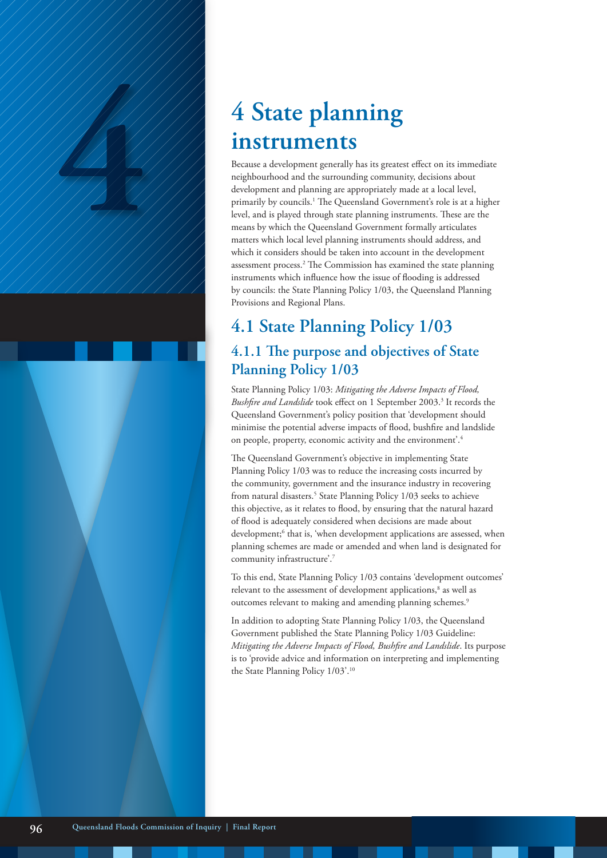# **instruments**

**4 State planning**<br> **instruments**<br>
Because a development generally has its greatest<br>
meighbourhood and the surrounding community<br>
development and planning are appropriately may<br>
primarily by councils.<sup>1</sup> The Queensland Gov Because a development generally has its greatest effect on its immediate neighbourhood and the surrounding community, decisions about development and planning are appropriately made at a local level, primarily by councils.<sup>1</sup> The Queensland Government's role is at a higher level, and is played through state planning instruments. These are the means by which the Queensland Government formally articulates matters which local level planning instruments should address, and which it considers should be taken into account in the development assessment process.<sup>2</sup> The Commission has examined the state planning instruments which influence how the issue of flooding is addressed by councils: the State Planning Policy 1/03, the Queensland Planning Provisions and Regional Plans.

# **4.1 State Planning Policy 1/03 4.1.1 The purpose and objectives of State**

**Planning Policy 1/03**

State Planning Policy 1/03: *Mitigating the Adverse Impacts of Flood,*  Bushfire and Landslide took effect on 1 September 2003.<sup>3</sup> It records the Queensland Government's policy position that 'development should minimise the potential adverse impacts of flood, bushfire and landslide on people, property, economic activity and the environment'.4

The Queensland Government's objective in implementing State Planning Policy 1/03 was to reduce the increasing costs incurred by the community, government and the insurance industry in recovering from natural disasters.<sup>5</sup> State Planning Policy 1/03 seeks to achieve this objective, as it relates to flood, by ensuring that the natural hazard of flood is adequately considered when decisions are made about development;<sup>6</sup> that is, 'when development applications are assessed, when planning schemes are made or amended and when land is designated for community infrastructure'.7

To this end, State Planning Policy 1/03 contains 'development outcomes' relevant to the assessment of development applications,<sup>8</sup> as well as outcomes relevant to making and amending planning schemes.<sup>9</sup>

In addition to adopting State Planning Policy 1/03, the Queensland Government published the State Planning Policy 1/03 Guideline: *Mitigating the Adverse Impacts of Flood, Bushfire and Landslide*. Its purpose is to 'provide advice and information on interpreting and implementing the State Planning Policy 1/03'.10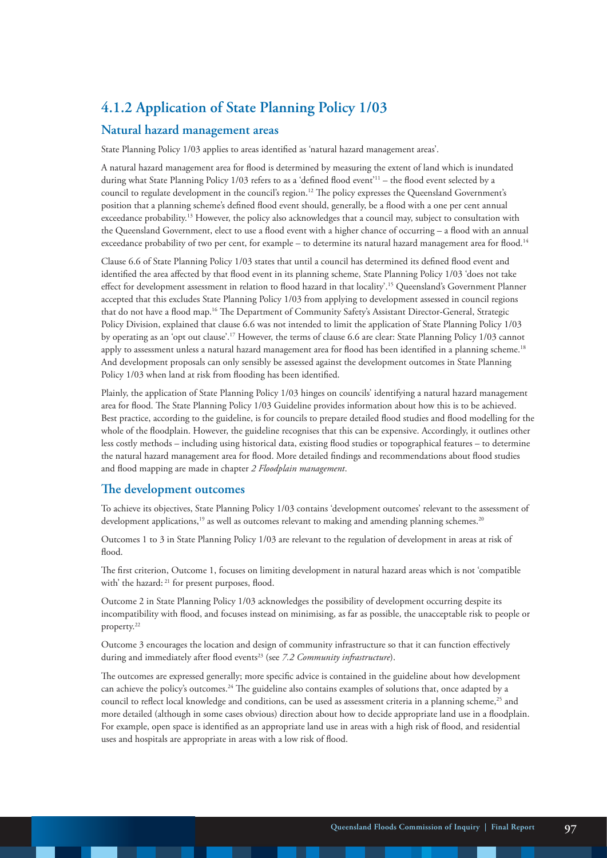### **4.1.2 Application of State Planning Policy 1/03**

#### **Natural hazard management areas**

State Planning Policy 1/03 applies to areas identified as 'natural hazard management areas'.

A natural hazard management area for flood is determined by measuring the extent of land which is inundated during what State Planning Policy 1/03 refers to as a 'defined flood event'<sup>11</sup> – the flood event selected by a council to regulate development in the council's region.12 The policy expresses the Queensland Government's position that a planning scheme's defined flood event should, generally, be a flood with a one per cent annual exceedance probability.13 However, the policy also acknowledges that a council may, subject to consultation with the Queensland Government, elect to use a flood event with a higher chance of occurring – a flood with an annual exceedance probability of two per cent, for example – to determine its natural hazard management area for flood.<sup>14</sup>

Clause 6.6 of State Planning Policy 1/03 states that until a council has determined its defined flood event and identified the area affected by that flood event in its planning scheme, State Planning Policy 1/03 'does not take effect for development assessment in relation to flood hazard in that locality'.15 Queensland's Government Planner accepted that this excludes State Planning Policy 1/03 from applying to development assessed in council regions that do not have a flood map.16 The Department of Community Safety's Assistant Director-General, Strategic Policy Division, explained that clause 6.6 was not intended to limit the application of State Planning Policy 1/03 by operating as an 'opt out clause'.17 However, the terms of clause 6.6 are clear: State Planning Policy 1/03 cannot apply to assessment unless a natural hazard management area for flood has been identified in a planning scheme.<sup>18</sup> And development proposals can only sensibly be assessed against the development outcomes in State Planning Policy 1/03 when land at risk from flooding has been identified.

Plainly, the application of State Planning Policy 1/03 hinges on councils' identifying a natural hazard management area for flood. The State Planning Policy 1/03 Guideline provides information about how this is to be achieved. Best practice, according to the guideline, is for councils to prepare detailed flood studies and flood modelling for the whole of the floodplain. However, the guideline recognises that this can be expensive. Accordingly, it outlines other less costly methods – including using historical data, existing flood studies or topographical features – to determine the natural hazard management area for flood. More detailed findings and recommendations about flood studies and flood mapping are made in chapter *2 Floodplain management*.

#### **The development outcomes**

To achieve its objectives, State Planning Policy 1/03 contains 'development outcomes' relevant to the assessment of development applications,<sup>19</sup> as well as outcomes relevant to making and amending planning schemes.<sup>20</sup>

Outcomes 1 to 3 in State Planning Policy 1/03 are relevant to the regulation of development in areas at risk of flood.

The first criterion, Outcome 1, focuses on limiting development in natural hazard areas which is not 'compatible with' the hazard: <sup>21</sup> for present purposes, flood.

Outcome 2 in State Planning Policy 1/03 acknowledges the possibility of development occurring despite its incompatibility with flood, and focuses instead on minimising, as far as possible, the unacceptable risk to people or property.22

Outcome 3 encourages the location and design of community infrastructure so that it can function effectively during and immediately after flood events<sup>23</sup> (see 7.2 Community infrastructure).

The outcomes are expressed generally; more specific advice is contained in the guideline about how development can achieve the policy's outcomes.24 The guideline also contains examples of solutions that, once adapted by a council to reflect local knowledge and conditions, can be used as assessment criteria in a planning scheme,<sup>25</sup> and more detailed (although in some cases obvious) direction about how to decide appropriate land use in a floodplain. For example, open space is identified as an appropriate land use in areas with a high risk of flood, and residential uses and hospitals are appropriate in areas with a low risk of flood.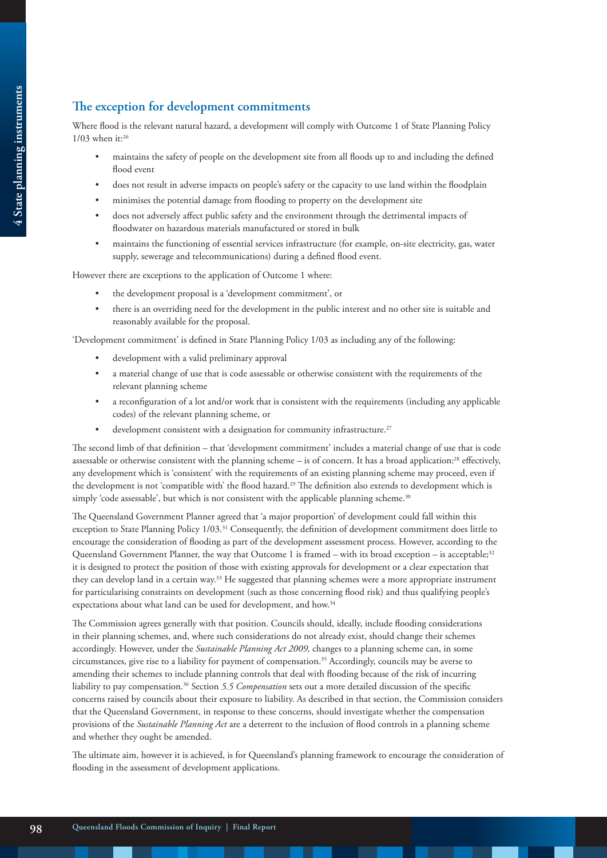#### **The exception for development commitments**

Where flood is the relevant natural hazard, a development will comply with Outcome 1 of State Planning Policy  $1/03$  when it:<sup>26</sup>

- maintains the safety of people on the development site from all floods up to and including the defined flood event
- does not result in adverse impacts on people's safety or the capacity to use land within the floodplain
- minimises the potential damage from flooding to property on the development site
- does not adversely affect public safety and the environment through the detrimental impacts of floodwater on hazardous materials manufactured or stored in bulk
- maintains the functioning of essential services infrastructure (for example, on-site electricity, gas, water supply, sewerage and telecommunications) during a defined flood event.

However there are exceptions to the application of Outcome 1 where:

- the development proposal is a 'development commitment', or
- there is an overriding need for the development in the public interest and no other site is suitable and reasonably available for the proposal.

'Development commitment' is defined in State Planning Policy 1/03 as including any of the following:

- development with a valid preliminary approval
- a material change of use that is code assessable or otherwise consistent with the requirements of the relevant planning scheme
- a reconfiguration of a lot and/or work that is consistent with the requirements (including any applicable codes) of the relevant planning scheme, or
- development consistent with a designation for community infrastructure.<sup>27</sup>

The second limb of that definition – that 'development commitment' includes a material change of use that is code assessable or otherwise consistent with the planning scheme – is of concern. It has a broad application:28 effectively, any development which is 'consistent' with the requirements of an existing planning scheme may proceed, even if the development is not 'compatible with' the flood hazard.<sup>29</sup> The definition also extends to development which is simply 'code assessable', but which is not consistent with the applicable planning scheme.<sup>30</sup>

The Queensland Government Planner agreed that 'a major proportion' of development could fall within this exception to State Planning Policy 1/03.31 Consequently, the definition of development commitment does little to encourage the consideration of flooding as part of the development assessment process. However, according to the Queensland Government Planner, the way that Outcome 1 is framed – with its broad exception – is acceptable;<sup>32</sup> it is designed to protect the position of those with existing approvals for development or a clear expectation that they can develop land in a certain way.33 He suggested that planning schemes were a more appropriate instrument for particularising constraints on development (such as those concerning flood risk) and thus qualifying people's expectations about what land can be used for development, and how.34

The Commission agrees generally with that position. Councils should, ideally, include flooding considerations in their planning schemes, and, where such considerations do not already exist, should change their schemes accordingly. However, under the *Sustainable Planning Act 2009,* changes to a planning scheme can, in some circumstances, give rise to a liability for payment of compensation.35 Accordingly, councils may be averse to amending their schemes to include planning controls that deal with flooding because of the risk of incurring liability to pay compensation.36 Section *5.5 Compensation* sets out a more detailed discussion of the specific concerns raised by councils about their exposure to liability. As described in that section, the Commission considers that the Queensland Government, in response to these concerns, should investigate whether the compensation provisions of the *Sustainable Planning Act* are a deterrent to the inclusion of flood controls in a planning scheme and whether they ought be amended.

The ultimate aim, however it is achieved, is for Queensland's planning framework to encourage the consideration of flooding in the assessment of development applications.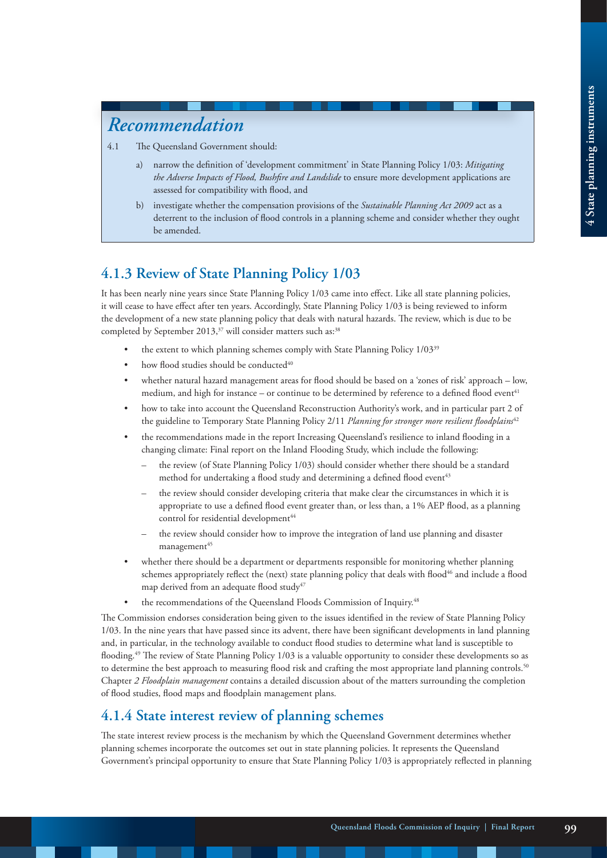## *Recommendation*

- 4.1 The Queensland Government should:
	- a) narrow the definition of 'development commitment' in State Planning Policy 1/03: *Mitigating the Adverse Impacts of Flood, Bushfire and Landslide* to ensure more development applications are assessed for compatibility with flood, and
	- b) investigate whether the compensation provisions of the *Sustainable Planning Act 2009* act as a deterrent to the inclusion of flood controls in a planning scheme and consider whether they ought be amended.

#### **4.1.3 Review of State Planning Policy 1/03**

It has been nearly nine years since State Planning Policy 1/03 came into effect. Like all state planning policies, it will cease to have effect after ten years. Accordingly, State Planning Policy 1/03 is being reviewed to inform the development of a new state planning policy that deals with natural hazards. The review, which is due to be completed by September 2013,<sup>37</sup> will consider matters such as:<sup>38</sup>

- the extent to which planning schemes comply with State Planning Policy 1/03<sup>39</sup>
- how flood studies should be conducted<sup>40</sup>
- whether natural hazard management areas for flood should be based on a 'zones of risk' approach low, medium, and high for instance – or continue to be determined by reference to a defined flood event<sup>41</sup>
- how to take into account the Queensland Reconstruction Authority's work, and in particular part 2 of the guideline to Temporary State Planning Policy 2/11 *Planning for stronger more resilient floodplains*<sup>42</sup>
- the recommendations made in the report Increasing Queensland's resilience to inland flooding in a changing climate: Final report on the Inland Flooding Study, which include the following:
	- the review (of State Planning Policy 1/03) should consider whether there should be a standard method for undertaking a flood study and determining a defined flood event<sup>43</sup>
	- the review should consider developing criteria that make clear the circumstances in which it is appropriate to use a defined flood event greater than, or less than, a 1% AEP flood, as a planning control for residential development<sup>44</sup>
	- the review should consider how to improve the integration of land use planning and disaster  $manaqement<sup>45</sup>$
- whether there should be a department or departments responsible for monitoring whether planning schemes appropriately reflect the (next) state planning policy that deals with flood<sup>46</sup> and include a flood map derived from an adequate flood study<sup>47</sup>
- the recommendations of the Queensland Floods Commission of Inquiry.<sup>48</sup>

The Commission endorses consideration being given to the issues identified in the review of State Planning Policy 1/03. In the nine years that have passed since its advent, there have been significant developments in land planning and, in particular, in the technology available to conduct flood studies to determine what land is susceptible to flooding.49 The review of State Planning Policy 1/03 is a valuable opportunity to consider these developments so as to determine the best approach to measuring flood risk and crafting the most appropriate land planning controls.<sup>50</sup> Chapter *2 Floodplain management* contains a detailed discussion about of the matters surrounding the completion of flood studies, flood maps and floodplain management plans.

## **4.1.4 State interest review of planning schemes**

The state interest review process is the mechanism by which the Queensland Government determines whether planning schemes incorporate the outcomes set out in state planning policies. It represents the Queensland Government's principal opportunity to ensure that State Planning Policy 1/03 is appropriately reflected in planning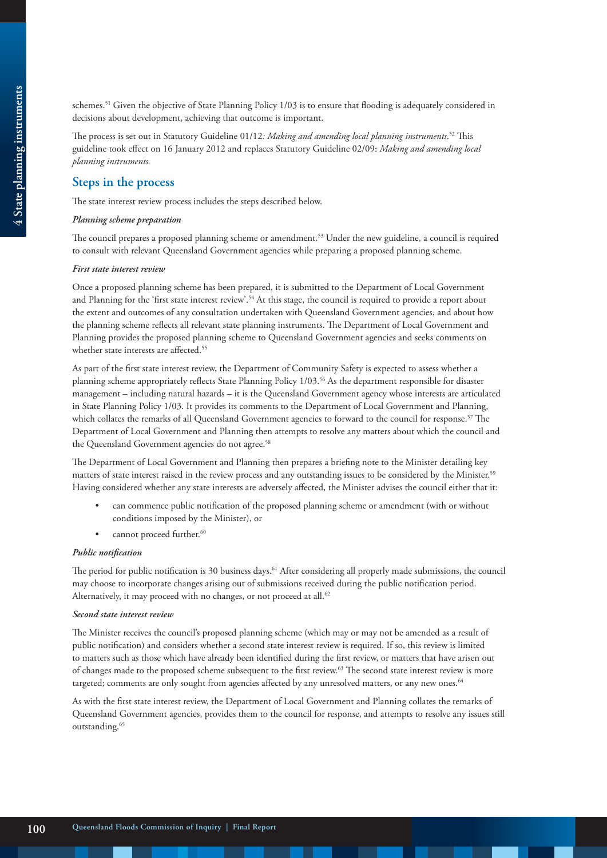schemes.<sup>51</sup> Given the objective of State Planning Policy 1/03 is to ensure that flooding is adequately considered in decisions about development, achieving that outcome is important.

The process is set out in Statutory Guideline 01/12*: Making and amending local planning instruments*. <sup>52</sup> This guideline took effect on 16 January 2012 and replaces Statutory Guideline 02/09: *Making and amending local planning instruments.*

#### **Steps in the process**

The state interest review process includes the steps described below.

#### *Planning scheme preparation*

The council prepares a proposed planning scheme or amendment.<sup>53</sup> Under the new guideline, a council is required to consult with relevant Queensland Government agencies while preparing a proposed planning scheme.

#### *First state interest review*

Once a proposed planning scheme has been prepared, it is submitted to the Department of Local Government and Planning for the 'first state interest review'.<sup>54</sup> At this stage, the council is required to provide a report about the extent and outcomes of any consultation undertaken with Queensland Government agencies, and about how the planning scheme reflects all relevant state planning instruments. The Department of Local Government and Planning provides the proposed planning scheme to Queensland Government agencies and seeks comments on whether state interests are affected.<sup>55</sup>

As part of the first state interest review, the Department of Community Safety is expected to assess whether a planning scheme appropriately reflects State Planning Policy 1/03.56 As the department responsible for disaster management – including natural hazards – it is the Queensland Government agency whose interests are articulated in State Planning Policy 1/03. It provides its comments to the Department of Local Government and Planning, which collates the remarks of all Queensland Government agencies to forward to the council for response.57 The Department of Local Government and Planning then attempts to resolve any matters about which the council and the Queensland Government agencies do not agree.<sup>58</sup>

The Department of Local Government and Planning then prepares a briefing note to the Minister detailing key matters of state interest raised in the review process and any outstanding issues to be considered by the Minister.59 Having considered whether any state interests are adversely affected, the Minister advises the council either that it:

- can commence public notification of the proposed planning scheme or amendment (with or without conditions imposed by the Minister), or
- cannot proceed further.<sup>60</sup>

#### *Public notification*

The period for public notification is 30 business days.<sup>61</sup> After considering all properly made submissions, the council may choose to incorporate changes arising out of submissions received during the public notification period. Alternatively, it may proceed with no changes, or not proceed at all.<sup>62</sup>

#### *Second state interest review*

The Minister receives the council's proposed planning scheme (which may or may not be amended as a result of public notification) and considers whether a second state interest review is required. If so, this review is limited to matters such as those which have already been identified during the first review, or matters that have arisen out of changes made to the proposed scheme subsequent to the first review.<sup>63</sup> The second state interest review is more targeted; comments are only sought from agencies affected by any unresolved matters, or any new ones.<sup>64</sup>

As with the first state interest review, the Department of Local Government and Planning collates the remarks of Queensland Government agencies, provides them to the council for response, and attempts to resolve any issues still outstanding.<sup>65</sup>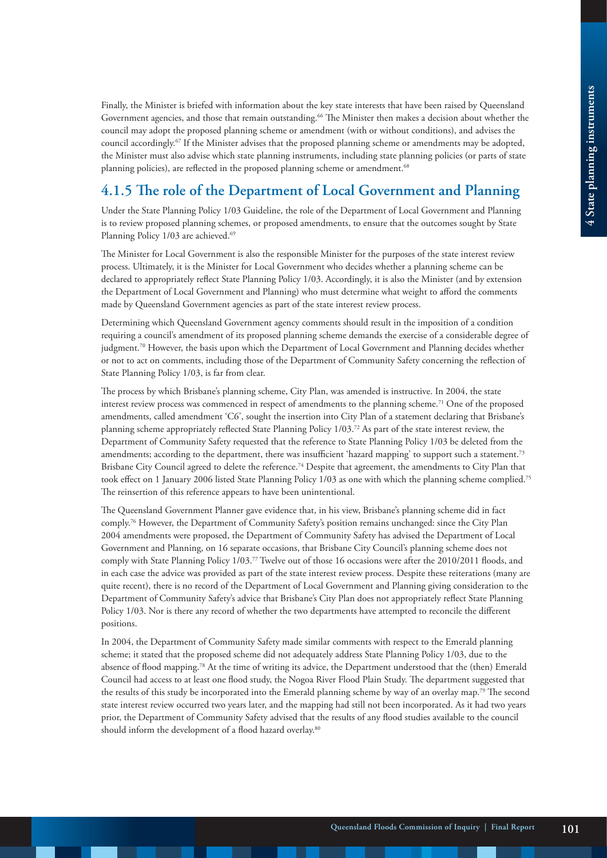Finally, the Minister is briefed with information about the key state interests that have been raised by Queensland Government agencies, and those that remain outstanding.66 The Minister then makes a decision about whether the council may adopt the proposed planning scheme or amendment (with or without conditions), and advises the council accordingly.67 If the Minister advises that the proposed planning scheme or amendments may be adopted, the Minister must also advise which state planning instruments, including state planning policies (or parts of state planning policies), are reflected in the proposed planning scheme or amendment.<sup>68</sup>

## **4.1.5 The role of the Department of Local Government and Planning**

Under the State Planning Policy 1/03 Guideline, the role of the Department of Local Government and Planning is to review proposed planning schemes, or proposed amendments, to ensure that the outcomes sought by State Planning Policy 1/03 are achieved.<sup>69</sup>

The Minister for Local Government is also the responsible Minister for the purposes of the state interest review process. Ultimately, it is the Minister for Local Government who decides whether a planning scheme can be declared to appropriately reflect State Planning Policy 1/03. Accordingly, it is also the Minister (and by extension the Department of Local Government and Planning) who must determine what weight to afford the comments made by Queensland Government agencies as part of the state interest review process.

Determining which Queensland Government agency comments should result in the imposition of a condition requiring a council's amendment of its proposed planning scheme demands the exercise of a considerable degree of judgment.<sup>70</sup> However, the basis upon which the Department of Local Government and Planning decides whether or not to act on comments, including those of the Department of Community Safety concerning the reflection of State Planning Policy 1/03, is far from clear.

The process by which Brisbane's planning scheme, City Plan, was amended is instructive. In 2004, the state interest review process was commenced in respect of amendments to the planning scheme.<sup>71</sup> One of the proposed amendments, called amendment 'C6', sought the insertion into City Plan of a statement declaring that Brisbane's planning scheme appropriately reflected State Planning Policy 1/03.72 As part of the state interest review, the Department of Community Safety requested that the reference to State Planning Policy 1/03 be deleted from the amendments; according to the department, there was insufficient 'hazard mapping' to support such a statement.73 Brisbane City Council agreed to delete the reference.74 Despite that agreement, the amendments to City Plan that took effect on 1 January 2006 listed State Planning Policy 1/03 as one with which the planning scheme complied.75 The reinsertion of this reference appears to have been unintentional.

The Queensland Government Planner gave evidence that, in his view, Brisbane's planning scheme did in fact comply.76 However, the Department of Community Safety's position remains unchanged: since the City Plan 2004 amendments were proposed, the Department of Community Safety has advised the Department of Local Government and Planning, on 16 separate occasions, that Brisbane City Council's planning scheme does not comply with State Planning Policy 1/03.77 Twelve out of those 16 occasions were after the 2010/2011 floods, and in each case the advice was provided as part of the state interest review process. Despite these reiterations (many are quite recent), there is no record of the Department of Local Government and Planning giving consideration to the Department of Community Safety's advice that Brisbane's City Plan does not appropriately reflect State Planning Policy 1/03. Nor is there any record of whether the two departments have attempted to reconcile the different positions.

In 2004, the Department of Community Safety made similar comments with respect to the Emerald planning scheme; it stated that the proposed scheme did not adequately address State Planning Policy 1/03, due to the absence of flood mapping.78 At the time of writing its advice, the Department understood that the (then) Emerald Council had access to at least one flood study, the Nogoa River Flood Plain Study. The department suggested that the results of this study be incorporated into the Emerald planning scheme by way of an overlay map.79 The second state interest review occurred two years later, and the mapping had still not been incorporated. As it had two years prior, the Department of Community Safety advised that the results of any flood studies available to the council should inform the development of a flood hazard overlay.<sup>80</sup>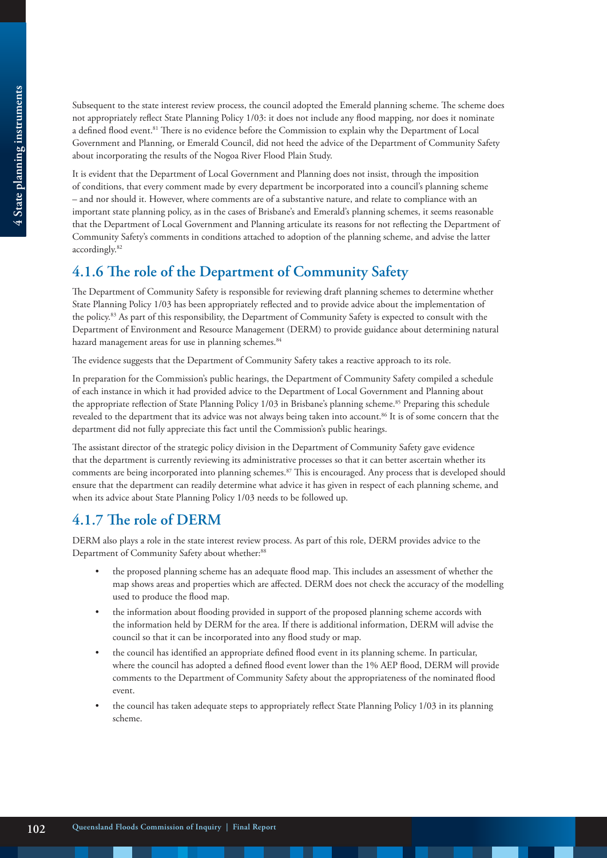Subsequent to the state interest review process, the council adopted the Emerald planning scheme. The scheme does not appropriately reflect State Planning Policy 1/03: it does not include any flood mapping, nor does it nominate a defined flood event.<sup>81</sup> There is no evidence before the Commission to explain why the Department of Local Government and Planning, or Emerald Council, did not heed the advice of the Department of Community Safety about incorporating the results of the Nogoa River Flood Plain Study.

It is evident that the Department of Local Government and Planning does not insist, through the imposition of conditions, that every comment made by every department be incorporated into a council's planning scheme – and nor should it. However, where comments are of a substantive nature, and relate to compliance with an important state planning policy, as in the cases of Brisbane's and Emerald's planning schemes, it seems reasonable that the Department of Local Government and Planning articulate its reasons for not reflecting the Department of Community Safety's comments in conditions attached to adoption of the planning scheme, and advise the latter accordingly.82

## **4.1.6 The role of the Department of Community Safety**

The Department of Community Safety is responsible for reviewing draft planning schemes to determine whether State Planning Policy 1/03 has been appropriately reflected and to provide advice about the implementation of the policy.83 As part of this responsibility, the Department of Community Safety is expected to consult with the Department of Environment and Resource Management (DERM) to provide guidance about determining natural hazard management areas for use in planning schemes.<sup>84</sup>

The evidence suggests that the Department of Community Safety takes a reactive approach to its role.

In preparation for the Commission's public hearings, the Department of Community Safety compiled a schedule of each instance in which it had provided advice to the Department of Local Government and Planning about the appropriate reflection of State Planning Policy 1/03 in Brisbane's planning scheme.<sup>85</sup> Preparing this schedule revealed to the department that its advice was not always being taken into account.<sup>86</sup> It is of some concern that the department did not fully appreciate this fact until the Commission's public hearings.

The assistant director of the strategic policy division in the Department of Community Safety gave evidence that the department is currently reviewing its administrative processes so that it can better ascertain whether its comments are being incorporated into planning schemes.<sup>87</sup> This is encouraged. Any process that is developed should ensure that the department can readily determine what advice it has given in respect of each planning scheme, and when its advice about State Planning Policy 1/03 needs to be followed up.

## **4.1.7 The role of DERM**

DERM also plays a role in the state interest review process. As part of this role, DERM provides advice to the Department of Community Safety about whether:<sup>88</sup>

- the proposed planning scheme has an adequate flood map. This includes an assessment of whether the map shows areas and properties which are affected. DERM does not check the accuracy of the modelling used to produce the flood map.
- the information about flooding provided in support of the proposed planning scheme accords with the information held by DERM for the area. If there is additional information, DERM will advise the council so that it can be incorporated into any flood study or map.
- the council has identified an appropriate defined flood event in its planning scheme. In particular, where the council has adopted a defined flood event lower than the 1% AEP flood, DERM will provide comments to the Department of Community Safety about the appropriateness of the nominated flood event.
- the council has taken adequate steps to appropriately reflect State Planning Policy 1/03 in its planning scheme.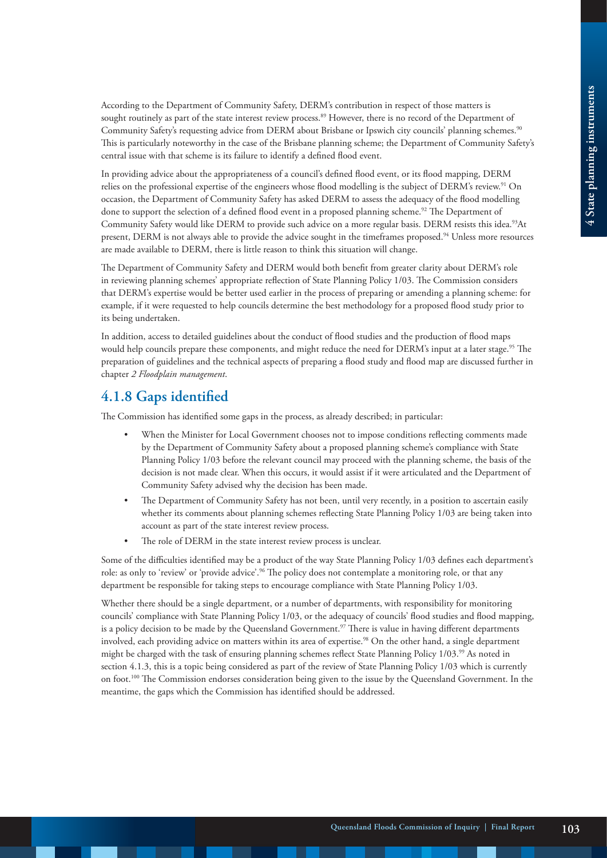According to the Department of Community Safety, DERM's contribution in respect of those matters is sought routinely as part of the state interest review process.<sup>89</sup> However, there is no record of the Department of Community Safety's requesting advice from DERM about Brisbane or Ipswich city councils' planning schemes.90 This is particularly noteworthy in the case of the Brisbane planning scheme; the Department of Community Safety's central issue with that scheme is its failure to identify a defined flood event.

In providing advice about the appropriateness of a council's defined flood event, or its flood mapping, DERM relies on the professional expertise of the engineers whose flood modelling is the subject of DERM's review.<sup>91</sup> On occasion, the Department of Community Safety has asked DERM to assess the adequacy of the flood modelling done to support the selection of a defined flood event in a proposed planning scheme.<sup>92</sup> The Department of Community Safety would like DERM to provide such advice on a more regular basis. DERM resists this idea.<sup>93</sup>At present, DERM is not always able to provide the advice sought in the timeframes proposed.<sup>94</sup> Unless more resources are made available to DERM, there is little reason to think this situation will change.

The Department of Community Safety and DERM would both benefit from greater clarity about DERM's role in reviewing planning schemes' appropriate reflection of State Planning Policy 1/03. The Commission considers that DERM's expertise would be better used earlier in the process of preparing or amending a planning scheme: for example, if it were requested to help councils determine the best methodology for a proposed flood study prior to its being undertaken.

In addition, access to detailed guidelines about the conduct of flood studies and the production of flood maps would help councils prepare these components, and might reduce the need for DERM's input at a later stage.<sup>95</sup> The preparation of guidelines and the technical aspects of preparing a flood study and flood map are discussed further in chapter *2 Floodplain management*.

#### **4.1.8 Gaps identified**

The Commission has identified some gaps in the process, as already described; in particular:

- When the Minister for Local Government chooses not to impose conditions reflecting comments made by the Department of Community Safety about a proposed planning scheme's compliance with State Planning Policy 1/03 before the relevant council may proceed with the planning scheme, the basis of the decision is not made clear. When this occurs, it would assist if it were articulated and the Department of Community Safety advised why the decision has been made.
- The Department of Community Safety has not been, until very recently, in a position to ascertain easily whether its comments about planning schemes reflecting State Planning Policy 1/03 are being taken into account as part of the state interest review process.
- The role of DERM in the state interest review process is unclear.

Some of the difficulties identified may be a product of the way State Planning Policy 1/03 defines each department's role: as only to 'review' or 'provide advice'.<sup>96</sup> The policy does not contemplate a monitoring role, or that any department be responsible for taking steps to encourage compliance with State Planning Policy 1/03.

Whether there should be a single department, or a number of departments, with responsibility for monitoring councils' compliance with State Planning Policy 1/03, or the adequacy of councils' flood studies and flood mapping, is a policy decision to be made by the Queensland Government.<sup>97</sup> There is value in having different departments involved, each providing advice on matters within its area of expertise.<sup>98</sup> On the other hand, a single department might be charged with the task of ensuring planning schemes reflect State Planning Policy 1/03.99 As noted in section 4.1.3, this is a topic being considered as part of the review of State Planning Policy 1/03 which is currently on foot.<sup>100</sup> The Commission endorses consideration being given to the issue by the Queensland Government. In the meantime, the gaps which the Commission has identified should be addressed.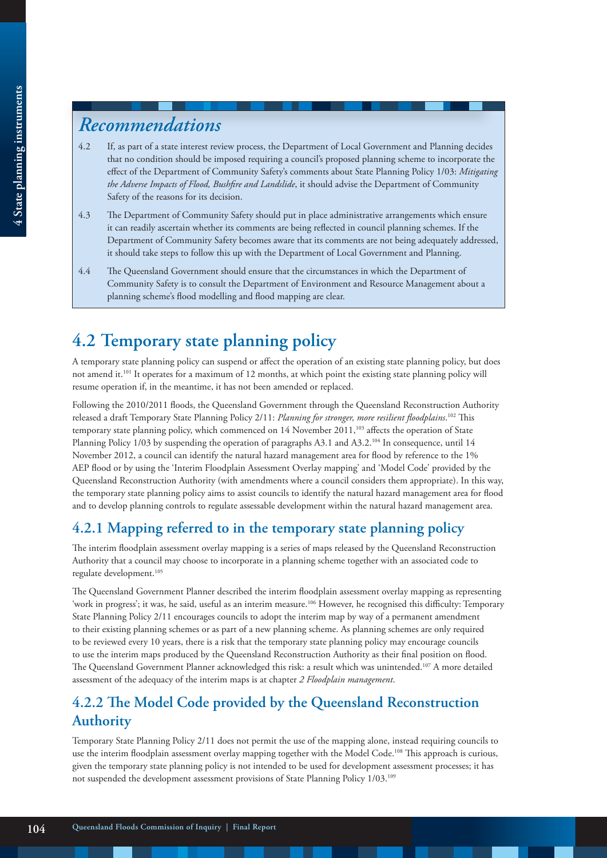# *Recommendations*

- 4.2 If, as part of a state interest review process, the Department of Local Government and Planning decides that no condition should be imposed requiring a council's proposed planning scheme to incorporate the effect of the Department of Community Safety's comments about State Planning Policy 1/03: *Mitigating the Adverse Impacts of Flood, Bushfire and Landslide*, it should advise the Department of Community Safety of the reasons for its decision.
- 4.3 The Department of Community Safety should put in place administrative arrangements which ensure it can readily ascertain whether its comments are being reflected in council planning schemes. If the Department of Community Safety becomes aware that its comments are not being adequately addressed, it should take steps to follow this up with the Department of Local Government and Planning.
- 4.4 The Queensland Government should ensure that the circumstances in which the Department of Community Safety is to consult the Department of Environment and Resource Management about a planning scheme's flood modelling and flood mapping are clear.

# **4.2 Temporary state planning policy**

A temporary state planning policy can suspend or affect the operation of an existing state planning policy, but does not amend it.101 It operates for a maximum of 12 months, at which point the existing state planning policy will resume operation if, in the meantime, it has not been amended or replaced.

Following the 2010/2011 floods, the Queensland Government through the Queensland Reconstruction Authority released a draft Temporary State Planning Policy 2/11: *Planning for stronger, more resilient floodplains*. 102 This temporary state planning policy, which commenced on 14 November 2011,<sup>103</sup> affects the operation of State Planning Policy  $1/03$  by suspending the operation of paragraphs A3.1 and A3.2.<sup>104</sup> In consequence, until 14 November 2012, a council can identify the natural hazard management area for flood by reference to the 1% AEP flood or by using the 'Interim Floodplain Assessment Overlay mapping' and 'Model Code' provided by the Queensland Reconstruction Authority (with amendments where a council considers them appropriate). In this way, the temporary state planning policy aims to assist councils to identify the natural hazard management area for flood and to develop planning controls to regulate assessable development within the natural hazard management area.

## **4.2.1 Mapping referred to in the temporary state planning policy**

The interim floodplain assessment overlay mapping is a series of maps released by the Queensland Reconstruction Authority that a council may choose to incorporate in a planning scheme together with an associated code to regulate development.<sup>105</sup>

The Queensland Government Planner described the interim floodplain assessment overlay mapping as representing 'work in progress'; it was, he said, useful as an interim measure.<sup>106</sup> However, he recognised this difficulty: Temporary State Planning Policy 2/11 encourages councils to adopt the interim map by way of a permanent amendment to their existing planning schemes or as part of a new planning scheme. As planning schemes are only required to be reviewed every 10 years, there is a risk that the temporary state planning policy may encourage councils to use the interim maps produced by the Queensland Reconstruction Authority as their final position on flood. The Queensland Government Planner acknowledged this risk: a result which was unintended.<sup>107</sup> A more detailed assessment of the adequacy of the interim maps is at chapter *2 Floodplain management*.

## **4.2.2 The Model Code provided by the Queensland Reconstruction Authority**

Temporary State Planning Policy 2/11 does not permit the use of the mapping alone, instead requiring councils to use the interim floodplain assessment overlay mapping together with the Model Code.108 This approach is curious, given the temporary state planning policy is not intended to be used for development assessment processes; it has not suspended the development assessment provisions of State Planning Policy 1/03.109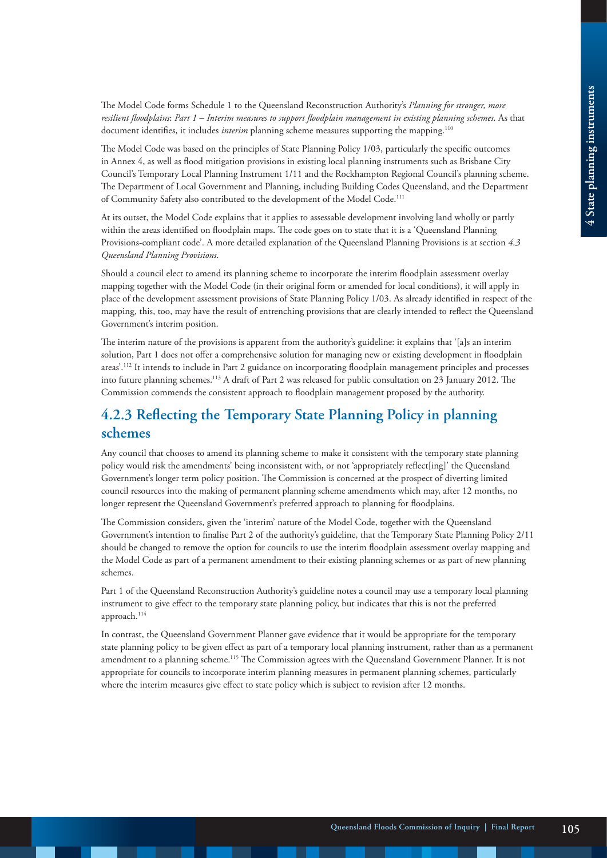The Model Code forms Schedule 1 to the Queensland Reconstruction Authority's *Planning for stronger, more resilient floodplains*: *Part 1 – Interim measures to support floodplain management in existing planning schemes*. As that document identifies, it includes *interim* planning scheme measures supporting the mapping.<sup>110</sup>

The Model Code was based on the principles of State Planning Policy 1/03, particularly the specific outcomes in Annex 4, as well as flood mitigation provisions in existing local planning instruments such as Brisbane City Council's Temporary Local Planning Instrument 1/11 and the Rockhampton Regional Council's planning scheme. The Department of Local Government and Planning, including Building Codes Queensland, and the Department of Community Safety also contributed to the development of the Model Code.<sup>111</sup>

At its outset, the Model Code explains that it applies to assessable development involving land wholly or partly within the areas identified on floodplain maps. The code goes on to state that it is a 'Queensland Planning Provisions-compliant code'. A more detailed explanation of the Queensland Planning Provisions is at section *4.3 Queensland Planning Provisions*.

Should a council elect to amend its planning scheme to incorporate the interim floodplain assessment overlay mapping together with the Model Code (in their original form or amended for local conditions), it will apply in place of the development assessment provisions of State Planning Policy 1/03. As already identified in respect of the mapping, this, too, may have the result of entrenching provisions that are clearly intended to reflect the Queensland Government's interim position.

The interim nature of the provisions is apparent from the authority's guideline: it explains that '[a]s an interim solution, Part 1 does not offer a comprehensive solution for managing new or existing development in floodplain areas'.<sup>112</sup> It intends to include in Part 2 guidance on incorporating floodplain management principles and processes into future planning schemes.113 A draft of Part 2 was released for public consultation on 23 January 2012. The Commission commends the consistent approach to floodplain management proposed by the authority.

## **4.2.3 Reflecting the Temporary State Planning Policy in planning schemes**

Any council that chooses to amend its planning scheme to make it consistent with the temporary state planning policy would risk the amendments' being inconsistent with, or not 'appropriately reflect[ing]' the Queensland Government's longer term policy position. The Commission is concerned at the prospect of diverting limited council resources into the making of permanent planning scheme amendments which may, after 12 months, no longer represent the Queensland Government's preferred approach to planning for floodplains.

The Commission considers, given the 'interim' nature of the Model Code, together with the Queensland Government's intention to finalise Part 2 of the authority's guideline, that the Temporary State Planning Policy 2/11 should be changed to remove the option for councils to use the interim floodplain assessment overlay mapping and the Model Code as part of a permanent amendment to their existing planning schemes or as part of new planning schemes.

Part 1 of the Queensland Reconstruction Authority's guideline notes a council may use a temporary local planning instrument to give effect to the temporary state planning policy, but indicates that this is not the preferred approach.<sup>114</sup>

In contrast, the Queensland Government Planner gave evidence that it would be appropriate for the temporary state planning policy to be given effect as part of a temporary local planning instrument, rather than as a permanent amendment to a planning scheme.<sup>115</sup> The Commission agrees with the Queensland Government Planner. It is not appropriate for councils to incorporate interim planning measures in permanent planning schemes, particularly where the interim measures give effect to state policy which is subject to revision after 12 months.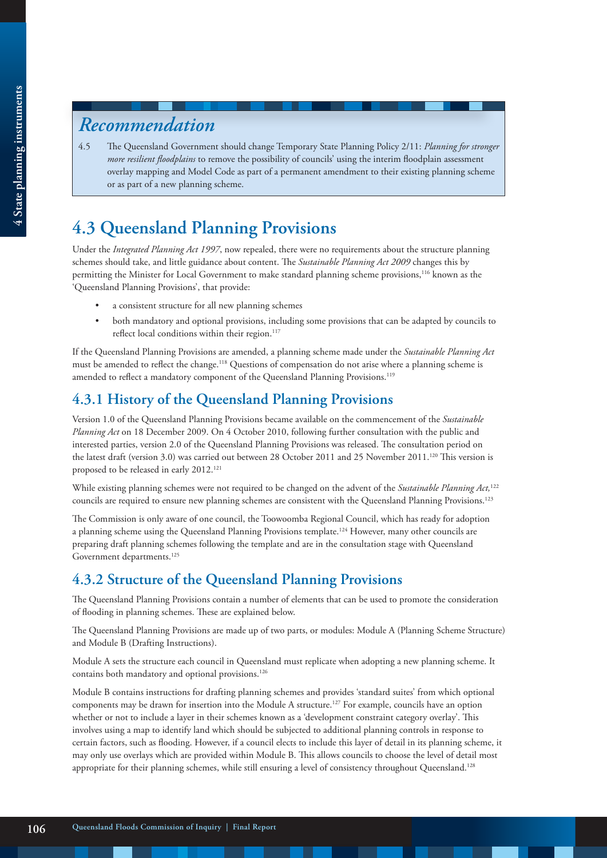# *Recommendation*

4.5 The Queensland Government should change Temporary State Planning Policy 2/11: *Planning for stronger more resilient floodplains* to remove the possibility of councils' using the interim floodplain assessment overlay mapping and Model Code as part of a permanent amendment to their existing planning scheme or as part of a new planning scheme.

# **4.3 Queensland Planning Provisions**

Under the *Integrated Planning Act 1997*, now repealed, there were no requirements about the structure planning schemes should take, and little guidance about content. The *Sustainable Planning Act 2009* changes this by permitting the Minister for Local Government to make standard planning scheme provisions,116 known as the 'Queensland Planning Provisions', that provide:

- a consistent structure for all new planning schemes
- both mandatory and optional provisions, including some provisions that can be adapted by councils to reflect local conditions within their region.<sup>117</sup>

If the Queensland Planning Provisions are amended, a planning scheme made under the *Sustainable Planning Act* must be amended to reflect the change.<sup>118</sup> Questions of compensation do not arise where a planning scheme is amended to reflect a mandatory component of the Queensland Planning Provisions.<sup>119</sup>

## **4.3.1 History of the Queensland Planning Provisions**

Version 1.0 of the Queensland Planning Provisions became available on the commencement of the *Sustainable Planning Act* on 18 December 2009. On 4 October 2010, following further consultation with the public and interested parties, version 2.0 of the Queensland Planning Provisions was released. The consultation period on the latest draft (version 3.0) was carried out between 28 October 2011 and 25 November 2011.120 This version is proposed to be released in early 2012.<sup>121</sup>

While existing planning schemes were not required to be changed on the advent of the *Sustainable Planning Act,*<sup>122</sup> councils are required to ensure new planning schemes are consistent with the Queensland Planning Provisions.123

The Commission is only aware of one council, the Toowoomba Regional Council, which has ready for adoption a planning scheme using the Queensland Planning Provisions template.<sup>124</sup> However, many other councils are preparing draft planning schemes following the template and are in the consultation stage with Queensland Government departments.<sup>125</sup>

## **4.3.2 Structure of the Queensland Planning Provisions**

The Queensland Planning Provisions contain a number of elements that can be used to promote the consideration of flooding in planning schemes. These are explained below.

The Queensland Planning Provisions are made up of two parts, or modules: Module A (Planning Scheme Structure) and Module B (Drafting Instructions).

Module A sets the structure each council in Queensland must replicate when adopting a new planning scheme. It contains both mandatory and optional provisions.126

Module B contains instructions for drafting planning schemes and provides 'standard suites' from which optional components may be drawn for insertion into the Module A structure.127 For example, councils have an option whether or not to include a layer in their schemes known as a 'development constraint category overlay'. This involves using a map to identify land which should be subjected to additional planning controls in response to certain factors, such as flooding. However, if a council elects to include this layer of detail in its planning scheme, it may only use overlays which are provided within Module B. This allows councils to choose the level of detail most appropriate for their planning schemes, while still ensuring a level of consistency throughout Queensland.<sup>128</sup>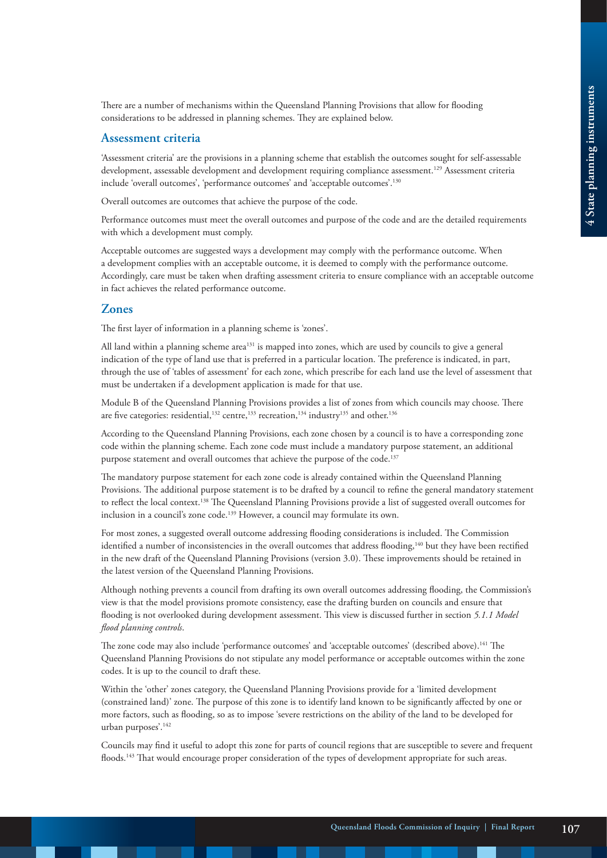There are a number of mechanisms within the Queensland Planning Provisions that allow for flooding considerations to be addressed in planning schemes. They are explained below.

#### **Assessment criteria**

'Assessment criteria' are the provisions in a planning scheme that establish the outcomes sought for self-assessable development, assessable development and development requiring compliance assessment.129 Assessment criteria include 'overall outcomes', 'performance outcomes' and 'acceptable outcomes'.130

Overall outcomes are outcomes that achieve the purpose of the code.

Performance outcomes must meet the overall outcomes and purpose of the code and are the detailed requirements with which a development must comply.

Acceptable outcomes are suggested ways a development may comply with the performance outcome. When a development complies with an acceptable outcome, it is deemed to comply with the performance outcome. Accordingly, care must be taken when drafting assessment criteria to ensure compliance with an acceptable outcome in fact achieves the related performance outcome.

#### **Zones**

The first layer of information in a planning scheme is 'zones'.

All land within a planning scheme area<sup>131</sup> is mapped into zones, which are used by councils to give a general indication of the type of land use that is preferred in a particular location. The preference is indicated, in part, through the use of 'tables of assessment' for each zone, which prescribe for each land use the level of assessment that must be undertaken if a development application is made for that use.

Module B of the Queensland Planning Provisions provides a list of zones from which councils may choose. There are five categories: residential,<sup>132</sup> centre,<sup>133</sup> recreation,<sup>134</sup> industry<sup>135</sup> and other.<sup>136</sup>

According to the Queensland Planning Provisions, each zone chosen by a council is to have a corresponding zone code within the planning scheme. Each zone code must include a mandatory purpose statement, an additional purpose statement and overall outcomes that achieve the purpose of the code.<sup>137</sup>

The mandatory purpose statement for each zone code is already contained within the Queensland Planning Provisions. The additional purpose statement is to be drafted by a council to refine the general mandatory statement to reflect the local context.<sup>138</sup> The Queensland Planning Provisions provide a list of suggested overall outcomes for inclusion in a council's zone code.139 However, a council may formulate its own.

For most zones, a suggested overall outcome addressing flooding considerations is included. The Commission identified a number of inconsistencies in the overall outcomes that address flooding,<sup>140</sup> but they have been rectified in the new draft of the Queensland Planning Provisions (version 3.0). These improvements should be retained in the latest version of the Queensland Planning Provisions.

Although nothing prevents a council from drafting its own overall outcomes addressing flooding, the Commission's view is that the model provisions promote consistency, ease the drafting burden on councils and ensure that flooding is not overlooked during development assessment. This view is discussed further in section *5.1.1 Model flood planning controls*.

The zone code may also include 'performance outcomes' and 'acceptable outcomes' (described above).<sup>141</sup> The Queensland Planning Provisions do not stipulate any model performance or acceptable outcomes within the zone codes. It is up to the council to draft these.

Within the 'other' zones category, the Queensland Planning Provisions provide for a 'limited development (constrained land)' zone. The purpose of this zone is to identify land known to be significantly affected by one or more factors, such as flooding, so as to impose 'severe restrictions on the ability of the land to be developed for urban purposes'.142

Councils may find it useful to adopt this zone for parts of council regions that are susceptible to severe and frequent floods.143 That would encourage proper consideration of the types of development appropriate for such areas.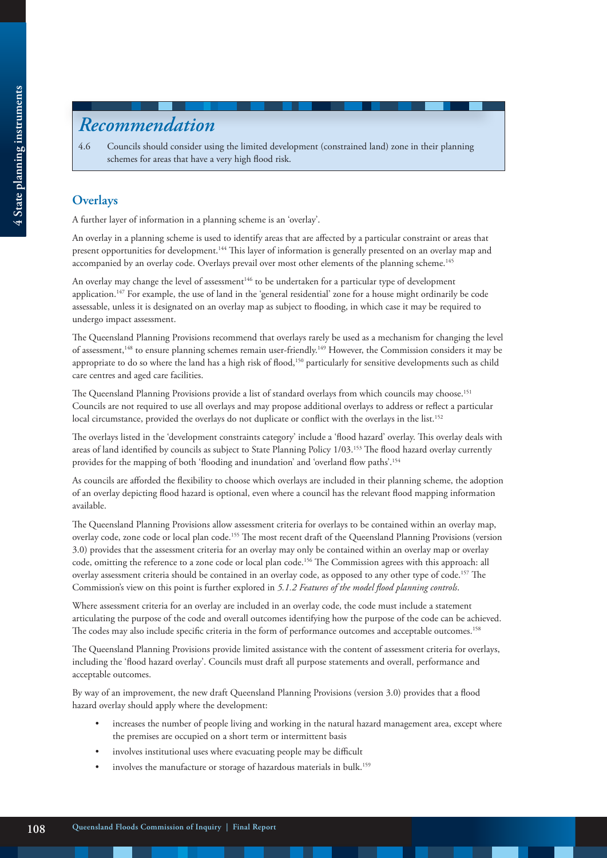# *Recommendation*

4.6 Councils should consider using the limited development (constrained land) zone in their planning schemes for areas that have a very high flood risk.

#### **Overlays**

A further layer of information in a planning scheme is an 'overlay'.

An overlay in a planning scheme is used to identify areas that are affected by a particular constraint or areas that present opportunities for development.144 This layer of information is generally presented on an overlay map and accompanied by an overlay code. Overlays prevail over most other elements of the planning scheme.<sup>145</sup>

An overlay may change the level of assessment<sup>146</sup> to be undertaken for a particular type of development application.<sup>147</sup> For example, the use of land in the 'general residential' zone for a house might ordinarily be code assessable, unless it is designated on an overlay map as subject to flooding, in which case it may be required to undergo impact assessment.

The Queensland Planning Provisions recommend that overlays rarely be used as a mechanism for changing the level of assessment,<sup>148</sup> to ensure planning schemes remain user-friendly.<sup>149</sup> However, the Commission considers it may be appropriate to do so where the land has a high risk of flood,<sup>150</sup> particularly for sensitive developments such as child care centres and aged care facilities.

The Queensland Planning Provisions provide a list of standard overlays from which councils may choose.151 Councils are not required to use all overlays and may propose additional overlays to address or reflect a particular local circumstance, provided the overlays do not duplicate or conflict with the overlays in the list.<sup>152</sup>

The overlays listed in the 'development constraints category' include a 'flood hazard' overlay. This overlay deals with areas of land identified by councils as subject to State Planning Policy 1/03.153 The flood hazard overlay currently provides for the mapping of both 'flooding and inundation' and 'overland flow paths'.154

As councils are afforded the flexibility to choose which overlays are included in their planning scheme, the adoption of an overlay depicting flood hazard is optional, even where a council has the relevant flood mapping information available.

The Queensland Planning Provisions allow assessment criteria for overlays to be contained within an overlay map, overlay code, zone code or local plan code.155 The most recent draft of the Queensland Planning Provisions (version 3.0) provides that the assessment criteria for an overlay may only be contained within an overlay map or overlay code, omitting the reference to a zone code or local plan code.156 The Commission agrees with this approach: all overlay assessment criteria should be contained in an overlay code, as opposed to any other type of code.157 The Commission's view on this point is further explored in *5.1.2 Features of the model flood planning controls*.

Where assessment criteria for an overlay are included in an overlay code, the code must include a statement articulating the purpose of the code and overall outcomes identifying how the purpose of the code can be achieved. The codes may also include specific criteria in the form of performance outcomes and acceptable outcomes.158

The Queensland Planning Provisions provide limited assistance with the content of assessment criteria for overlays, including the 'flood hazard overlay'. Councils must draft all purpose statements and overall, performance and acceptable outcomes.

By way of an improvement, the new draft Queensland Planning Provisions (version 3.0) provides that a flood hazard overlay should apply where the development:

- increases the number of people living and working in the natural hazard management area, except where the premises are occupied on a short term or intermittent basis
- involves institutional uses where evacuating people may be difficult
- involves the manufacture or storage of hazardous materials in bulk.<sup>159</sup>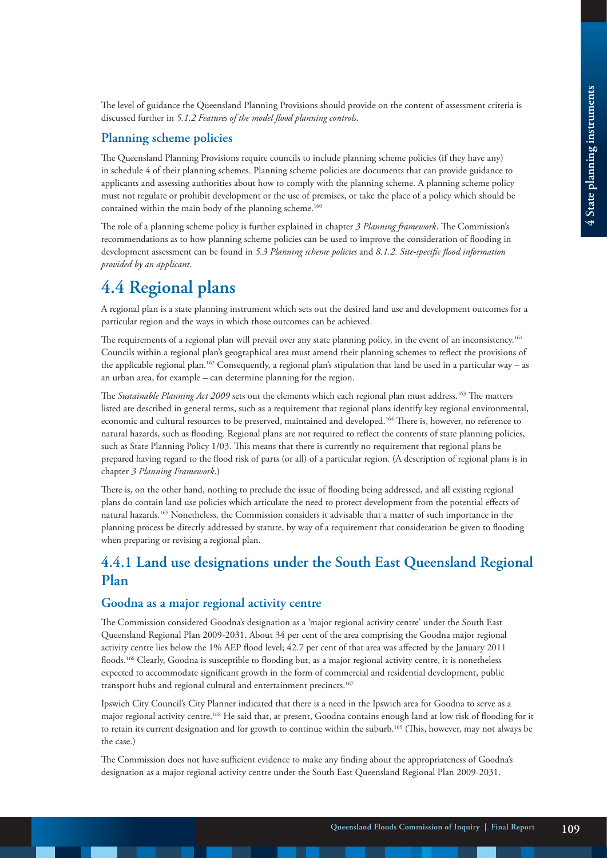The level of guidance the Queensland Planning Provisions should provide on the content of assessment criteria is discussed further in *5.1.2 Features of the model flood planning controls*.

#### **Planning scheme policies**

The Queensland Planning Provisions require councils to include planning scheme policies (if they have any) in schedule 4 of their planning schemes. Planning scheme policies are documents that can provide guidance to applicants and assessing authorities about how to comply with the planning scheme. A planning scheme policy must not regulate or prohibit development or the use of premises, or take the place of a policy which should be contained within the main body of the planning scheme.<sup>160</sup>

The role of a planning scheme policy is further explained in chapter *3 Planning framework*. The Commission's recommendations as to how planning scheme policies can be used to improve the consideration of flooding in development assessment can be found in *5.3 Planning scheme policies* and *8.1.2. Site-specific flood information provided by an applicant*.

## **4.4 Regional plans**

A regional plan is a state planning instrument which sets out the desired land use and development outcomes for a particular region and the ways in which those outcomes can be achieved.

The requirements of a regional plan will prevail over any state planning policy, in the event of an inconsistency.<sup>161</sup> Councils within a regional plan's geographical area must amend their planning schemes to reflect the provisions of the applicable regional plan.162 Consequently, a regional plan's stipulation that land be used in a particular way – as an urban area, for example – can determine planning for the region.

The *Sustainable Planning Act 2009* sets out the elements which each regional plan must address.163 The matters listed are described in general terms, such as a requirement that regional plans identify key regional environmental, economic and cultural resources to be preserved, maintained and developed.164 There is, however, no reference to natural hazards, such as flooding. Regional plans are not required to reflect the contents of state planning policies, such as State Planning Policy 1/03. This means that there is currently no requirement that regional plans be prepared having regard to the flood risk of parts (or all) of a particular region. (A description of regional plans is in chapter *3 Planning Framework*.)

There is, on the other hand, nothing to preclude the issue of flooding being addressed, and all existing regional plans do contain land use policies which articulate the need to protect development from the potential effects of natural hazards.165 Nonetheless, the Commission considers it advisable that a matter of such importance in the planning process be directly addressed by statute, by way of a requirement that consideration be given to flooding when preparing or revising a regional plan.

## **4.4.1 Land use designations under the South East Queensland Regional Plan**

#### **Goodna as a major regional activity centre**

The Commission considered Goodna's designation as a 'major regional activity centre' under the South East Queensland Regional Plan 2009-2031. About 34 per cent of the area comprising the Goodna major regional activity centre lies below the 1% AEP flood level; 42.7 per cent of that area was affected by the January 2011 floods.<sup>166</sup> Clearly, Goodna is susceptible to flooding but, as a major regional activity centre, it is nonetheless expected to accommodate significant growth in the form of commercial and residential development, public transport hubs and regional cultural and entertainment precincts.<sup>167</sup>

Ipswich City Council's City Planner indicated that there is a need in the Ipswich area for Goodna to serve as a major regional activity centre.168 He said that, at present, Goodna contains enough land at low risk of flooding for it to retain its current designation and for growth to continue within the suburb.169 (This, however, may not always be the case.)

The Commission does not have sufficient evidence to make any finding about the appropriateness of Goodna's designation as a major regional activity centre under the South East Queensland Regional Plan 2009-2031.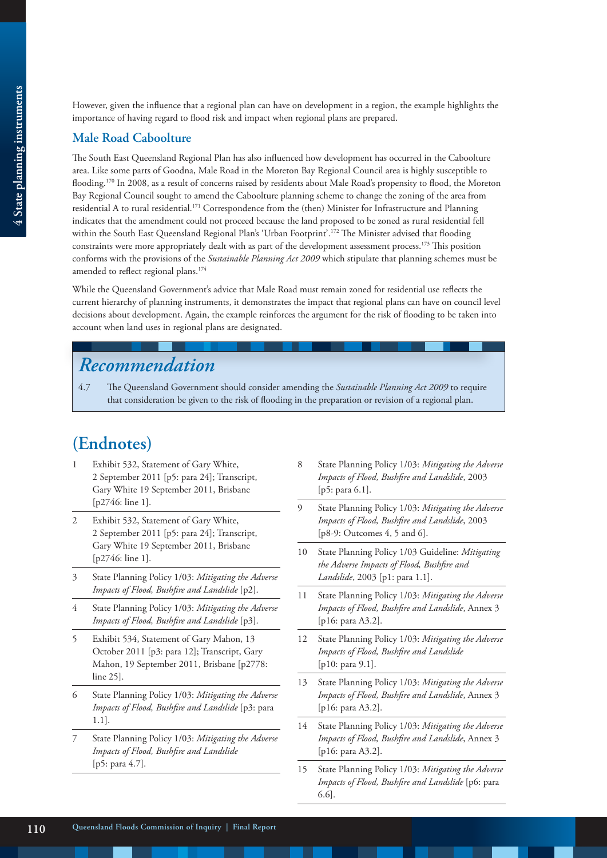**Male Road Caboolture**

However, given the influence that a regional plan can have on development in a region, the example highlights the importance of having regard to flood risk and impact when regional plans are prepared.

#### The South East Queensland Regional Plan has also influenced how development has occurred in the Caboolture area. Like some parts of Goodna, Male Road in the Moreton Bay Regional Council area is highly susceptible to flooding.170 In 2008, as a result of concerns raised by residents about Male Road's propensity to flood, the Moreton Bay Regional Council sought to amend the Caboolture planning scheme to change the zoning of the area from residential A to rural residential.171 Correspondence from the (then) Minister for Infrastructure and Planning indicates that the amendment could not proceed because the land proposed to be zoned as rural residential fell within the South East Queensland Regional Plan's 'Urban Footprint'.<sup>172</sup> The Minister advised that flooding constraints were more appropriately dealt with as part of the development assessment process.173 This position conforms with the provisions of the *Sustainable Planning Act 2009* which stipulate that planning schemes must be amended to reflect regional plans.<sup>174</sup>

While the Queensland Government's advice that Male Road must remain zoned for residential use reflects the current hierarchy of planning instruments, it demonstrates the impact that regional plans can have on council level decisions about development. Again, the example reinforces the argument for the risk of flooding to be taken into account when land uses in regional plans are designated.

# *Recommendation*

4.7 The Queensland Government should consider amending the *Sustainable Planning Act 2009* to require that consideration be given to the risk of flooding in the preparation or revision of a regional plan.

# **(Endnotes)**

- 1 Exhibit 532, Statement of Gary White, 2 September 2011 [p5: para 24]; Transcript, Gary White 19 September 2011, Brisbane [p2746: line 1].
- Exhibit 532, Statement of Gary White, 2 September 2011 [p5: para 24]; Transcript, Gary White 19 September 2011, Brisbane [p2746: line 1].
- 3 State Planning Policy 1/03: *Mitigating the Adverse Impacts of Flood, Bushfire and Landslide* [p2].
- 4 State Planning Policy 1/03: *Mitigating the Adverse Impacts of Flood, Bushfire and Landslide* [p3].
- 5 Exhibit 534, Statement of Gary Mahon, 13 October 2011 [p3: para 12]; Transcript, Gary Mahon, 19 September 2011, Brisbane [p2778: line 25].
- 6 State Planning Policy 1/03: *Mitigating the Adverse Impacts of Flood, Bushfire and Landslide* [p3: para 1.1].
- 7 State Planning Policy 1/03: *Mitigating the Adverse Impacts of Flood, Bushfire and Landslide* [p5: para 4.7].
- 8 State Planning Policy 1/03: *Mitigating the Adverse Impacts of Flood, Bushfire and Landslide*, 2003 [p5: para 6.1].
- 9 State Planning Policy 1/03: *Mitigating the Adverse Impacts of Flood, Bushfire and Landslide*, 2003 [p8-9: Outcomes 4, 5 and 6].
- 10 State Planning Policy 1/03 Guideline: *Mitigating the Adverse Impacts of Flood, Bushfire and Landslide*, 2003 [p1: para 1.1].
- 11 State Planning Policy 1/03: *Mitigating the Adverse Impacts of Flood, Bushfire and Landslide*, Annex 3 [p16: para A3.2].
- 12 State Planning Policy 1/03: *Mitigating the Adverse Impacts of Flood, Bushfire and Landslide* [p10: para 9.1].
- 13 State Planning Policy 1/03: *Mitigating the Adverse Impacts of Flood, Bushfire and Landslide*, Annex 3 [p16: para A3.2].
- 14 State Planning Policy 1/03: *Mitigating the Adverse Impacts of Flood, Bushfire and Landslide*, Annex 3 [p16: para A3.2].
- 15 State Planning Policy 1/03: *Mitigating the Adverse Impacts of Flood, Bushfire and Landslide* [p6: para 6.6].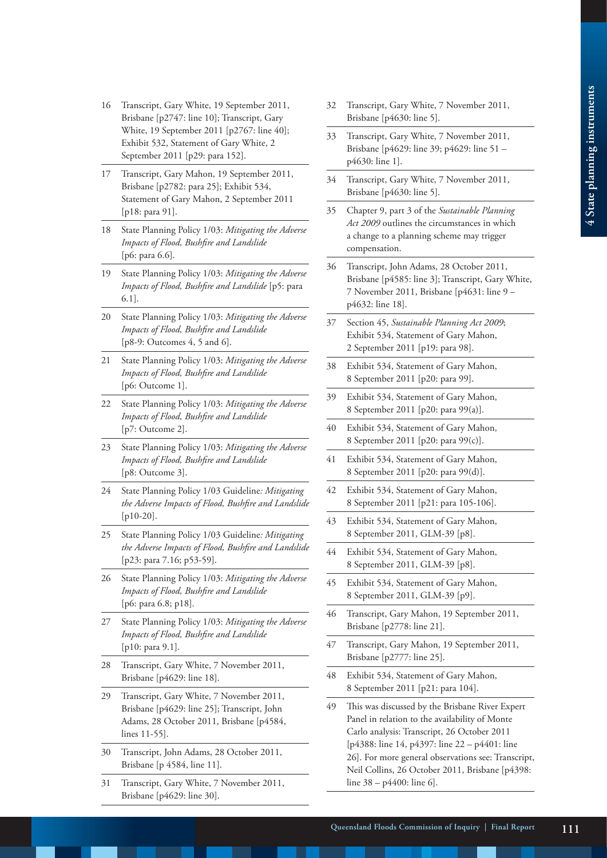- 16 Transcript, Gary White, 19 September 2011, Brisbane [p2747: line 10]; Transcript, Gary White, 19 September 2011 [p2767: line 40]; Exhibit 532, Statement of Gary White, 2 September 2011 [p29: para 152].
- 17 Transcript, Gary Mahon, 19 September 2011, Brisbane [p2782: para 25]; Exhibit 534, Statement of Gary Mahon, 2 September 2011 [p18: para 91].
- 18 State Planning Policy 1/03: *Mitigating the Adverse Impacts of Flood, Bushfire and Landslide* [p6: para 6.6].
- 19 State Planning Policy 1/03: *Mitigating the Adverse Impacts of Flood, Bushfire and Landslide* [p5: para 6.1].
- 20 State Planning Policy 1/03: *Mitigating the Adverse Impacts of Flood, Bushfire and Landslide* [p8-9: Outcomes 4, 5 and 6].
- 21 State Planning Policy 1/03: *Mitigating the Adverse Impacts of Flood, Bushfire and Landslide* [p6: Outcome 1].
- 22 State Planning Policy 1/03: *Mitigating the Adverse Impacts of Flood, Bushfire and Landslide* [p7: Outcome 2].
- 23 State Planning Policy 1/03: *Mitigating the Adverse Impacts of Flood, Bushfire and Landslide* [p8: Outcome 3].
- 24 State Planning Policy 1/03 Guideline*: Mitigating the Adverse Impacts of Flood, Bushfire and Landslide* [p10-20].
- 25 State Planning Policy 1/03 Guideline*: Mitigating the Adverse Impacts of Flood, Bushfire and Landslide* [p23: para 7.16; p53-59].
- 26 State Planning Policy 1/03: *Mitigating the Adverse Impacts of Flood, Bushfire and Landslide* [p6: para 6.8; p18].
- 27 State Planning Policy 1/03: *Mitigating the Adverse Impacts of Flood, Bushfire and Landslide* [p10: para 9.1].
- 28 Transcript, Gary White, 7 November 2011, Brisbane [p4629: line 18].
- 29 Transcript, Gary White, 7 November 2011, Brisbane [p4629: line 25]; Transcript, John Adams, 28 October 2011, Brisbane [p4584, lines 11-55].
- 30 Transcript, John Adams, 28 October 2011, Brisbane [p 4584, line 11].
- 31 Transcript, Gary White, 7 November 2011, Brisbane [p4629: line 30].
- 32 Transcript, Gary White, 7 November 2011, Brisbane [p4630: line 5].
- 33 Transcript, Gary White, 7 November 2011, Brisbane [p4629: line 39; p4629: line 51 – p4630: line 1].
- 34 Transcript, Gary White, 7 November 2011, Brisbane [p4630: line 5].
- 35 Chapter 9, part 3 of the *Sustainable Planning Act 2009* outlines the circumstances in which a change to a planning scheme may trigger compensation.
- 36 Transcript, John Adams, 28 October 2011, Brisbane [p4585: line 3]; Transcript, Gary White, 7 November 2011, Brisbane [p4631: line 9 – p4632: line 18].
- 37 Section 45, *Sustainable Planning Act 2009*; Exhibit 534, Statement of Gary Mahon, 2 September 2011 [p19: para 98].
- 38 Exhibit 534, Statement of Gary Mahon, 8 September 2011 [p20: para 99].
- 39 Exhibit 534, Statement of Gary Mahon, 8 September 2011 [p20: para 99(a)].
- 40 Exhibit 534, Statement of Gary Mahon, 8 September 2011 [p20: para 99(c)].
- 41 Exhibit 534, Statement of Gary Mahon, 8 September 2011 [p20: para 99(d)].
- 42 Exhibit 534, Statement of Gary Mahon, 8 September 2011 [p21: para 105-106].
- 43 Exhibit 534, Statement of Gary Mahon, 8 September 2011, GLM-39 [p8].
- 44 Exhibit 534, Statement of Gary Mahon, 8 September 2011, GLM-39 [p8].
- 45 Exhibit 534, Statement of Gary Mahon, 8 September 2011, GLM-39 [p9].
- 46 Transcript, Gary Mahon, 19 September 2011, Brisbane [p2778: line 21].
- 47 Transcript, Gary Mahon, 19 September 2011, Brisbane [p2777: line 25].
- 48 Exhibit 534, Statement of Gary Mahon, 8 September 2011 [p21: para 104].
- 49 This was discussed by the Brisbane River Expert Panel in relation to the availability of Monte Carlo analysis: Transcript, 26 October 2011 [p4388: line 14, p4397: line 22 – p4401: line 26]. For more general observations see: Transcript, Neil Collins, 26 October 2011, Brisbane [p4398: line 38 – p4400: line 6].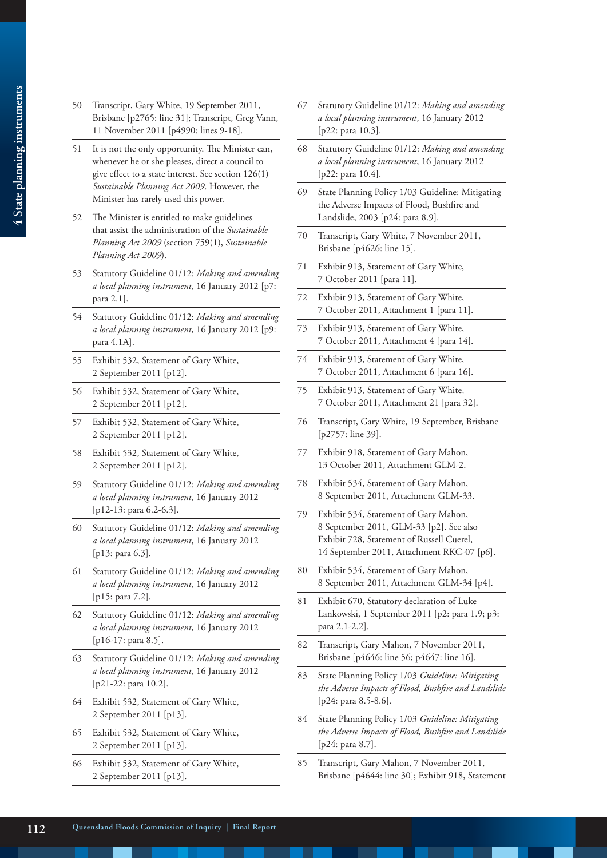- 4 State planning instruments **4 State planning instruments**
- 50 Transcript, Gary White, 19 September 2011, Brisbane [p2765: line 31]; Transcript, Greg Vann, 11 November 2011 [p4990: lines 9-18].
- 51 It is not the only opportunity. The Minister can, whenever he or she pleases, direct a council to give effect to a state interest. See section 126(1) *Sustainable Planning Act 2009*. However, the Minister has rarely used this power.
- 52 The Minister is entitled to make guidelines that assist the administration of the *Sustainable Planning Act 2009* (section 759(1), *Sustainable Planning Act 2009*).
- 53 Statutory Guideline 01/12: *Making and amending a local planning instrument*, 16 January 2012 [p7: para 2.1].
- 54 Statutory Guideline 01/12: *Making and amending a local planning instrument*, 16 January 2012 [p9: para 4.1A].
- 55 Exhibit 532, Statement of Gary White, 2 September 2011 [p12].
- 56 Exhibit 532, Statement of Gary White, 2 September 2011 [p12].
- 57 Exhibit 532, Statement of Gary White, 2 September 2011 [p12].
- 58 Exhibit 532, Statement of Gary White, 2 September 2011 [p12].
- 59 Statutory Guideline 01/12: *Making and amending a local planning instrument*, 16 January 2012 [p12-13: para 6.2-6.3].
- 60 Statutory Guideline 01/12: *Making and amending a local planning instrument*, 16 January 2012 [p13: para 6.3].
- 61 Statutory Guideline 01/12: *Making and amending a local planning instrument*, 16 January 2012 [p15: para 7.2].
- 62 Statutory Guideline 01/12: *Making and amending a local planning instrument*, 16 January 2012 [p16-17: para 8.5].
- 63 Statutory Guideline 01/12: *Making and amending a local planning instrument*, 16 January 2012 [p21-22: para 10.2].
- 64 Exhibit 532, Statement of Gary White, 2 September 2011 [p13].
- 65 Exhibit 532, Statement of Gary White, 2 September 2011 [p13].
- 66 Exhibit 532, Statement of Gary White, 2 September 2011 [p13].
- 67 Statutory Guideline 01/12: *Making and amending a local planning instrument*, 16 January 2012 [p22: para 10.3].
- 68 Statutory Guideline 01/12: *Making and amending a local planning instrument*, 16 January 2012 [p22: para 10.4].
- 69 State Planning Policy 1/03 Guideline: Mitigating the Adverse Impacts of Flood, Bushfire and Landslide, 2003 [p24: para 8.9].
- 70 Transcript, Gary White, 7 November 2011, Brisbane [p4626: line 15].
- 71 Exhibit 913, Statement of Gary White, 7 October 2011 [para 11].
- 72 Exhibit 913, Statement of Gary White, 7 October 2011, Attachment 1 [para 11].
- 73 Exhibit 913, Statement of Gary White, 7 October 2011, Attachment 4 [para 14].
- 74 Exhibit 913, Statement of Gary White, 7 October 2011, Attachment 6 [para 16].
- 75 Exhibit 913, Statement of Gary White, 7 October 2011, Attachment 21 [para 32].
- 76 Transcript, Gary White, 19 September, Brisbane [p2757: line 39].
- 77 Exhibit 918, Statement of Gary Mahon, 13 October 2011, Attachment GLM-2.
- 78 Exhibit 534, Statement of Gary Mahon, 8 September 2011, Attachment GLM-33.
- 79 Exhibit 534, Statement of Gary Mahon, 8 September 2011, GLM-33 [p2]. See also Exhibit 728, Statement of Russell Cuerel, 14 September 2011, Attachment RKC-07 [p6].
- 80 Exhibit 534, Statement of Gary Mahon, 8 September 2011, Attachment GLM-34 [p4].
- 81 Exhibit 670, Statutory declaration of Luke Lankowski, 1 September 2011 [p2: para 1.9; p3: para 2.1-2.2].
- 82 Transcript, Gary Mahon, 7 November 2011, Brisbane [p4646: line 56; p4647: line 16].
- 83 State Planning Policy 1/03 *Guideline: Mitigating the Adverse Impacts of Flood, Bushfire and Landslide* [p24: para 8.5-8.6].
- 84 State Planning Policy 1/03 *Guideline: Mitigating the Adverse Impacts of Flood, Bushfire and Landslide* [p24: para 8.7].
- 85 Transcript, Gary Mahon, 7 November 2011, Brisbane [p4644: line 30]; Exhibit 918, Statement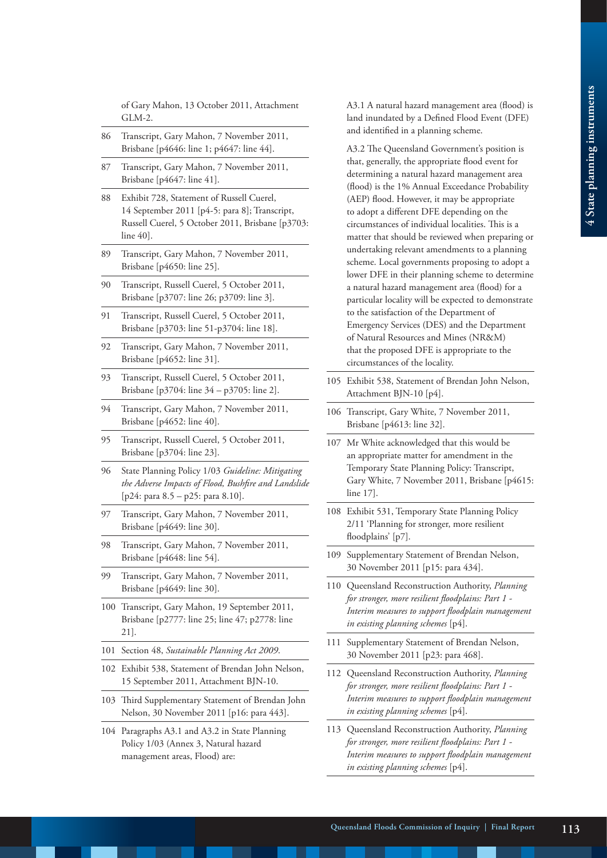of Gary Mahon, 13 October 2011, Attachment GLM-2.

- 86 Transcript, Gary Mahon, 7 November 2011, Brisbane [p4646: line 1; p4647: line 44].
- 87 Transcript, Gary Mahon, 7 November 2011, Brisbane [p4647: line 41].
- 88 Exhibit 728, Statement of Russell Cuerel, 14 September 2011 [p4-5: para 8]; Transcript, Russell Cuerel, 5 October 2011, Brisbane [p3703: line 40].
- 89 Transcript, Gary Mahon, 7 November 2011, Brisbane [p4650: line 25].
- 90 Transcript, Russell Cuerel, 5 October 2011, Brisbane [p3707: line 26; p3709: line 3].
- 91 Transcript, Russell Cuerel, 5 October 2011, Brisbane [p3703: line 51-p3704: line 18].
- 92 Transcript, Gary Mahon, 7 November 2011, Brisbane [p4652: line 31].
- 93 Transcript, Russell Cuerel, 5 October 2011, Brisbane [p3704: line 34 – p3705: line 2].
- 94 Transcript, Gary Mahon, 7 November 2011, Brisbane [p4652: line 40].
- 95 Transcript, Russell Cuerel, 5 October 2011, Brisbane [p3704: line 23].
- 96 State Planning Policy 1/03 *Guideline: Mitigating the Adverse Impacts of Flood, Bushfire and Landslide* [p24: para 8.5 – p25: para 8.10].
- 97 Transcript, Gary Mahon, 7 November 2011, Brisbane [p4649: line 30].
- 98 Transcript, Gary Mahon, 7 November 2011, Brisbane [p4648: line 54].
- 99 Transcript, Gary Mahon, 7 November 2011, Brisbane [p4649: line 30].
- 100 Transcript, Gary Mahon, 19 September 2011, Brisbane [p2777: line 25; line 47; p2778: line 21].
- 101 Section 48, *Sustainable Planning Act 2009*.
- 102 Exhibit 538, Statement of Brendan John Nelson, 15 September 2011, Attachment BJN-10.
- 103 Third Supplementary Statement of Brendan John Nelson, 30 November 2011 [p16: para 443].
- 104 Paragraphs A3.1 and A3.2 in State Planning Policy 1/03 (Annex 3, Natural hazard management areas, Flood) are:

A3.1 A natural hazard management area (flood) is land inundated by a Defined Flood Event (DFE) and identified in a planning scheme.

A3.2 The Queensland Government's position is that, generally, the appropriate flood event for determining a natural hazard management area (flood) is the 1% Annual Exceedance Probability (AEP) flood. However, it may be appropriate to adopt a different DFE depending on the circumstances of individual localities. This is a matter that should be reviewed when preparing or undertaking relevant amendments to a planning scheme. Local governments proposing to adopt a lower DFE in their planning scheme to determine a natural hazard management area (flood) for a particular locality will be expected to demonstrate to the satisfaction of the Department of Emergency Services (DES) and the Department of Natural Resources and Mines (NR&M) that the proposed DFE is appropriate to the circumstances of the locality.

- 105 Exhibit 538, Statement of Brendan John Nelson, Attachment BJN-10 [p4].
- 106 Transcript, Gary White, 7 November 2011, Brisbane [p4613: line 32].
- 107 Mr White acknowledged that this would be an appropriate matter for amendment in the Temporary State Planning Policy: Transcript, Gary White, 7 November 2011, Brisbane [p4615: line 17].
- 108 Exhibit 531, Temporary State Planning Policy 2/11 'Planning for stronger, more resilient floodplains' [p7].
- 109 Supplementary Statement of Brendan Nelson, 30 November 2011 [p15: para 434].
- 110 Queensland Reconstruction Authority, *Planning for stronger, more resilient floodplains: Part 1 - Interim measures to support floodplain management in existing planning schemes* [p4].
- 111 Supplementary Statement of Brendan Nelson, 30 November 2011 [p23: para 468].
- 112 Queensland Reconstruction Authority, *Planning for stronger, more resilient floodplains: Part 1 - Interim measures to support floodplain management in existing planning schemes* [p4].
- 113 Queensland Reconstruction Authority, *Planning for stronger, more resilient floodplains: Part 1 - Interim measures to support floodplain management in existing planning schemes* [p4].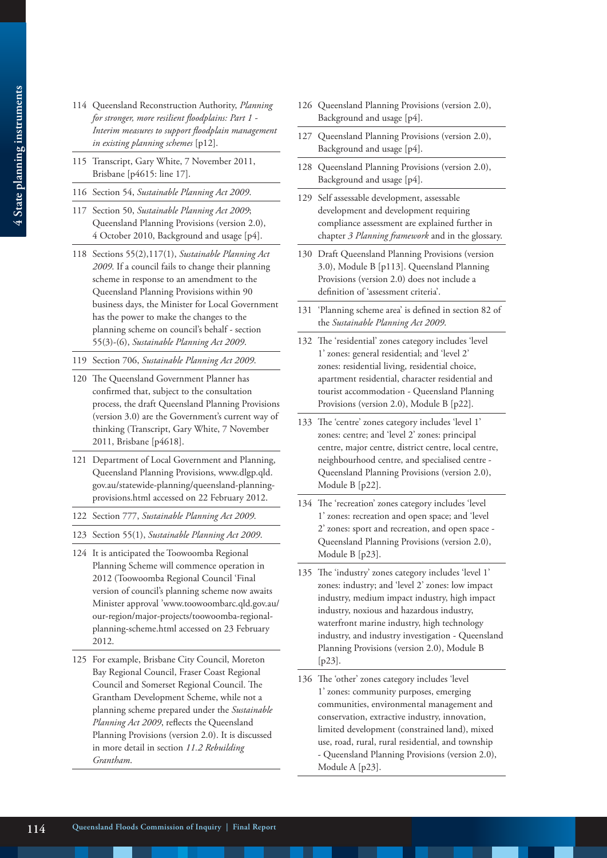- 4 State planning instruments **4 State planning instruments**
- 114 Queensland Reconstruction Authority, *Planning for stronger, more resilient floodplains: Part 1 - Interim measures to support floodplain management in existing planning schemes* [p12].
- 115 Transcript, Gary White, 7 November 2011, Brisbane [p4615: line 17].
- 116 Section 54, *Sustainable Planning Act 2009*.
- 117 Section 50, *Sustainable Planning Act 2009*; Queensland Planning Provisions (version 2.0), 4 October 2010, Background and usage [p4].
- 118 Sections 55(2),117(1), *Sustainable Planning Act 2009*. If a council fails to change their planning scheme in response to an amendment to the Queensland Planning Provisions within 90 business days, the Minister for Local Government has the power to make the changes to the planning scheme on council's behalf - section 55(3)-(6), *Sustainable Planning Act 2009*.
- 119 Section 706, *Sustainable Planning Act 2009*.
- 120 The Queensland Government Planner has confirmed that, subject to the consultation process, the draft Queensland Planning Provisions (version 3.0) are the Government's current way of thinking (Transcript, Gary White, 7 November 2011, Brisbane [p4618].
- 121 Department of Local Government and Planning, Queensland Planning Provisions, www.dlgp.qld. gov.au/statewide-planning/queensland-planningprovisions.html accessed on 22 February 2012.
- 122 Section 777, *Sustainable Planning Act 2009*.
- 123 Section 55(1), *Sustainable Planning Act 2009*.
- 124 It is anticipated the Toowoomba Regional Planning Scheme will commence operation in 2012 (Toowoomba Regional Council 'Final version of council's planning scheme now awaits Minister approval 'www.toowoombarc.qld.gov.au/ our-region/major-projects/toowoomba-regionalplanning-scheme.html accessed on 23 February 2012.
- 125 For example, Brisbane City Council, Moreton Bay Regional Council, Fraser Coast Regional Council and Somerset Regional Council. The Grantham Development Scheme, while not a planning scheme prepared under the *Sustainable Planning Act 2009*, reflects the Queensland Planning Provisions (version 2.0). It is discussed in more detail in section *11.2 Rebuilding Grantham*.
- 126 Queensland Planning Provisions (version 2.0), Background and usage [p4].
- 127 Queensland Planning Provisions (version 2.0), Background and usage [p4].
- 128 Queensland Planning Provisions (version 2.0), Background and usage [p4].
- 129 Self assessable development, assessable development and development requiring compliance assessment are explained further in chapter *3 Planning framework* and in the glossary.
- 130 Draft Queensland Planning Provisions (version 3.0), Module B [p113]. Queensland Planning Provisions (version 2.0) does not include a definition of 'assessment criteria'.
- 131 'Planning scheme area' is defined in section 82 of the *Sustainable Planning Act 2009*.
- 132 The 'residential' zones category includes 'level 1' zones: general residential; and 'level 2' zones: residential living, residential choice, apartment residential, character residential and tourist accommodation - Queensland Planning Provisions (version 2.0), Module B [p22].
- 133 The 'centre' zones category includes 'level 1' zones: centre; and 'level 2' zones: principal centre, major centre, district centre, local centre, neighbourhood centre, and specialised centre - Queensland Planning Provisions (version 2.0), Module B [p22].
- 134 The 'recreation' zones category includes 'level 1' zones: recreation and open space; and 'level 2' zones: sport and recreation, and open space - Queensland Planning Provisions (version 2.0), Module B [p23].
- 135 The 'industry' zones category includes 'level 1' zones: industry; and 'level 2' zones: low impact industry, medium impact industry, high impact industry, noxious and hazardous industry, waterfront marine industry, high technology industry, and industry investigation - Queensland Planning Provisions (version 2.0), Module B [p23].
- 136 The 'other' zones category includes 'level 1' zones: community purposes, emerging communities, environmental management and conservation, extractive industry, innovation, limited development (constrained land), mixed use, road, rural, rural residential, and township - Queensland Planning Provisions (version 2.0), Module A [p23].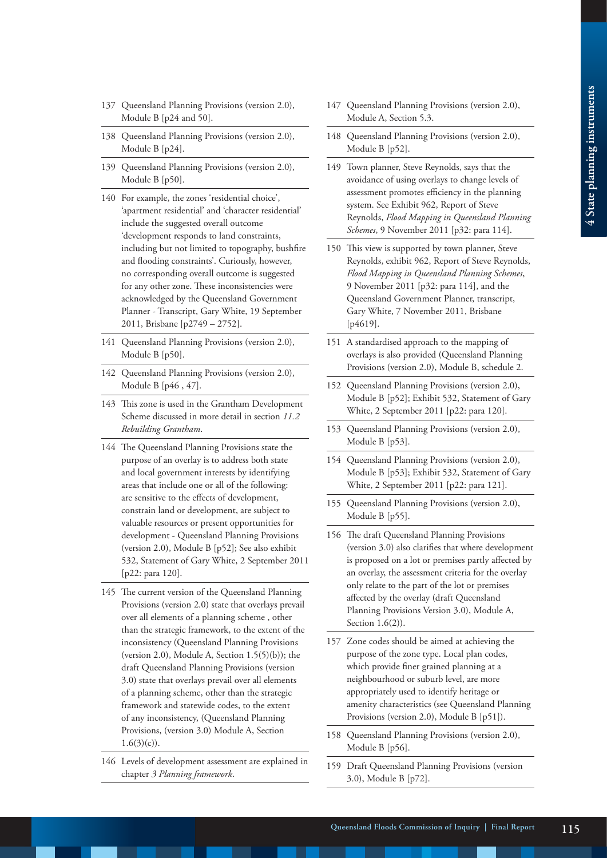- 137 Queensland Planning Provisions (version 2.0), Module B [p24 and 50].
- 138 Queensland Planning Provisions (version 2.0), Module B [p24].
- 139 Queensland Planning Provisions (version 2.0), Module B [p50].
- 140 For example, the zones 'residential choice', 'apartment residential' and 'character residential' include the suggested overall outcome 'development responds to land constraints, including but not limited to topography, bushfire and flooding constraints'. Curiously, however, no corresponding overall outcome is suggested for any other zone. These inconsistencies were acknowledged by the Queensland Government Planner - Transcript, Gary White, 19 September 2011, Brisbane [p2749 – 2752].
- 141 Queensland Planning Provisions (version 2.0), Module B [p50].
- 142 Queensland Planning Provisions (version 2.0), Module B [p46 , 47].
- 143 This zone is used in the Grantham Development Scheme discussed in more detail in section *11.2 Rebuilding Grantham*.
- 144 The Queensland Planning Provisions state the purpose of an overlay is to address both state and local government interests by identifying areas that include one or all of the following: are sensitive to the effects of development, constrain land or development, are subject to valuable resources or present opportunities for development - Queensland Planning Provisions (version 2.0), Module B [p52]; See also exhibit 532, Statement of Gary White, 2 September 2011 [p22: para 120].
- 145 The current version of the Queensland Planning Provisions (version 2.0) state that overlays prevail over all elements of a planning scheme , other than the strategic framework, to the extent of the inconsistency (Queensland Planning Provisions (version 2.0), Module A, Section  $1.5(5)(b)$ ); the draft Queensland Planning Provisions (version 3.0) state that overlays prevail over all elements of a planning scheme, other than the strategic framework and statewide codes, to the extent of any inconsistency, (Queensland Planning Provisions, (version 3.0) Module A, Section  $1.6(3)(c)$ .
- 146 Levels of development assessment are explained in chapter *3 Planning framework*.
- 147 Queensland Planning Provisions (version 2.0), Module A, Section 5.3.
- 148 Queensland Planning Provisions (version 2.0), Module B [p52].
- 149 Town planner, Steve Reynolds, says that the avoidance of using overlays to change levels of assessment promotes efficiency in the planning system. See Exhibit 962, Report of Steve Reynolds, *Flood Mapping in Queensland Planning Schemes*, 9 November 2011 [p32: para 114].
- 150 This view is supported by town planner, Steve Reynolds, exhibit 962, Report of Steve Reynolds, *Flood Mapping in Queensland Planning Schemes*, 9 November 2011 [p32: para 114], and the Queensland Government Planner, transcript, Gary White, 7 November 2011, Brisbane [p4619].
- 151 A standardised approach to the mapping of overlays is also provided (Queensland Planning Provisions (version 2.0), Module B, schedule 2.
- 152 Queensland Planning Provisions (version 2.0), Module B [p52]; Exhibit 532, Statement of Gary White, 2 September 2011 [p22: para 120].
- 153 Queensland Planning Provisions (version 2.0), Module B [p53].
- 154 Queensland Planning Provisions (version 2.0), Module B [p53]; Exhibit 532, Statement of Gary White, 2 September 2011 [p22: para 121].
- 155 Queensland Planning Provisions (version 2.0), Module B [p55].
- 156 The draft Queensland Planning Provisions (version 3.0) also clarifies that where development is proposed on a lot or premises partly affected by an overlay, the assessment criteria for the overlay only relate to the part of the lot or premises affected by the overlay (draft Queensland Planning Provisions Version 3.0), Module A, Section 1.6(2)).
- 157 Zone codes should be aimed at achieving the purpose of the zone type. Local plan codes, which provide finer grained planning at a neighbourhood or suburb level, are more appropriately used to identify heritage or amenity characteristics (see Queensland Planning Provisions (version 2.0), Module B [p51]).
- 158 Queensland Planning Provisions (version 2.0), Module B [p56].
- 159 Draft Queensland Planning Provisions (version 3.0), Module B [p72].